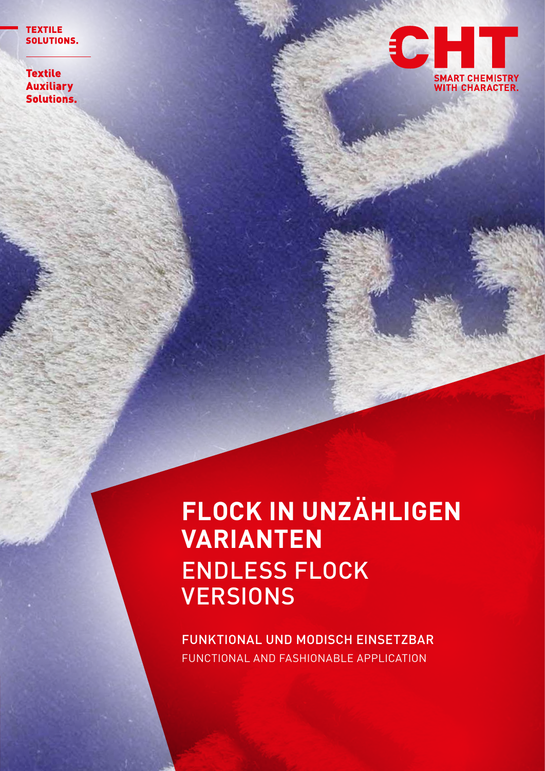**TEXTILE** SOLUTIONS.

**Textile Auxiliary Solutions.** 



# **FLOCK IN UNZÄHLIGEN VARIANTEN** ENDLESS FLOCK **VERSIONS**

FUNKTIONAL UND MODISCH EINSETZBAR FUNCTIONAL AND FASHIONABLE APPLICATION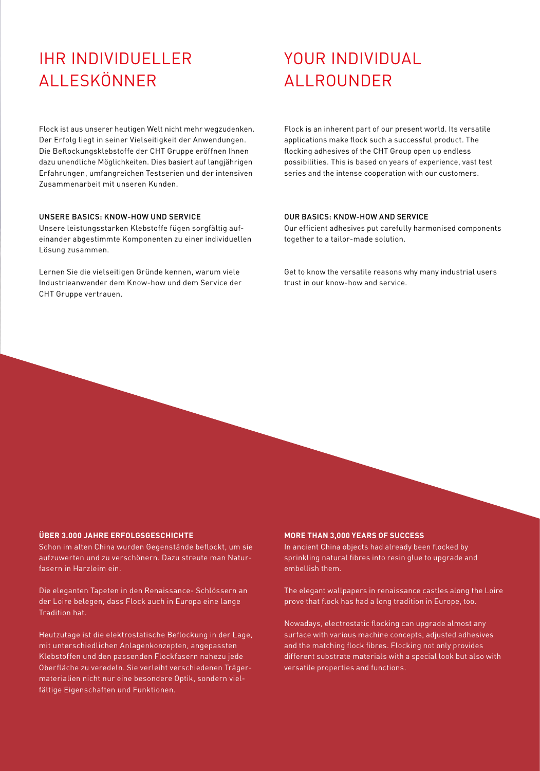# IHR INDIVIDUELLER ALLESKÖNNER

# YOUR INDIVIDUAL ALLROUNDER

Flock ist aus unserer heutigen Welt nicht mehr wegzudenken. Der Erfolg liegt in seiner Vielseitigkeit der Anwendungen. Die Beflockungsklebstoffe der CHT Gruppe eröffnen Ihnen dazu unendliche Möglichkeiten. Dies basiert auf langjährigen Erfahrungen, umfangreichen Testserien und der intensiven Zusammenarbeit mit unseren Kunden.

#### UNSERE BASICS: KNOW-HOW UND SERVICE

Unsere leistungsstarken Klebstoffe fügen sorgfältig aufeinander abgestimmte Komponenten zu einer individuellen Lösung zusammen.

Lernen Sie die vielseitigen Gründe kennen, warum viele Industrieanwender dem Know-how und dem Service der CHT Gruppe vertrauen.

Flock is an inherent part of our present world. Its versatile applications make flock such a successful product. The flocking adhesives of the CHT Group open up endless possibilities. This is based on years of experience, vast test series and the intense cooperation with our customers.

#### OUR BASICS: KNOW-HOW AND SERVICE

Our efficient adhesives put carefully harmonised components together to a tailor-made solution.

Get to know the versatile reasons why many industrial users trust in our know-how and service.

#### **ÜBER 3.000 JAHRE ERFOLGSGESCHICHTE**

Schon im alten China wurden Gegenstände beflockt, um sie aufzuwerten und zu verschönern. Dazu streute man Naturfasern in Harzleim ein.

Die eleganten Tapeten in den Renaissance- Schlössern an der Loire belegen, dass Flock auch in Europa eine lange Tradition hat.

Heutzutage ist die elektrostatische Beflockung in der Lage, mit unterschiedlichen Anlagenkonzepten, angepassten Klebstoffen und den passenden Flockfasern nahezu jede Oberfläche zu veredeln. Sie verleiht verschiedenen Trägermaterialien nicht nur eine besondere Optik, sondern vielfältige Eigenschaften und Funktionen.

#### **MORE THAN 3,000 YEARS OF SUCCESS**

In ancient China objects had already been flocked by sprinkling natural fibres into resin glue to upgrade and embellish them.

The elegant wallpapers in renaissance castles along the Loire prove that flock has had a long tradition in Europe, too.

Nowadays, electrostatic flocking can upgrade almost any surface with various machine concepts, adjusted adhesives and the matching flock fibres. Flocking not only provides different substrate materials with a special look but also with versatile properties and functions.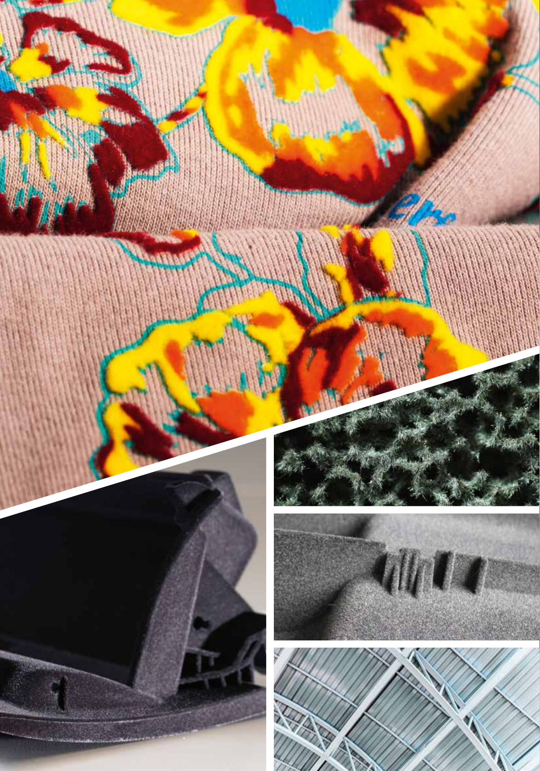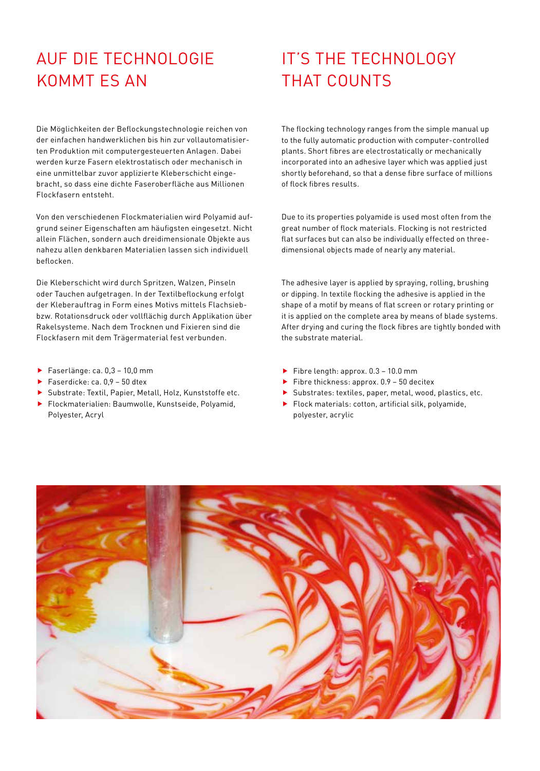# AUF DIE TECHNOLOGIE KOMMT ES AN

Die Möglichkeiten der Beflockungstechnologie reichen von der einfachen handwerklichen bis hin zur vollautomatisierten Produktion mit computergesteuerten Anlagen. Dabei werden kurze Fasern elektrostatisch oder mechanisch in eine unmittelbar zuvor applizierte Kleberschicht eingebracht, so dass eine dichte Faseroberfläche aus Millionen Flockfasern entsteht.

Von den verschiedenen Flockmaterialien wird Polyamid aufgrund seiner Eigenschaften am häufigsten eingesetzt. Nicht allein Flächen, sondern auch dreidimensionale Objekte aus nahezu allen denkbaren Materialien lassen sich individuell beflocken.

Die Kleberschicht wird durch Spritzen, Walzen, Pinseln oder Tauchen aufgetragen. In der Textilbeflockung erfolgt der Kleberauftrag in Form eines Motivs mittels Flachsiebbzw. Rotationsdruck oder vollflächig durch Applikation über Rakelsysteme. Nach dem Trocknen und Fixieren sind die Flockfasern mit dem Trägermaterial fest verbunden.

- Faserlänge: ca.  $0,3 10,0$  mm
- Faserdicke: ca.  $0.9 50$  dtex
- Substrate: Textil, Papier, Metall, Holz, Kunststoffe etc.
- Flockmaterialien: Baumwolle, Kunstseide, Polyamid, Polyester, Acryl

# IT'S THE TECHNOLOGY THAT COUNTS

The flocking technology ranges from the simple manual up to the fully automatic production with computer-controlled plants. Short fibres are electrostatically or mechanically incorporated into an adhesive layer which was applied just shortly beforehand, so that a dense fibre surface of millions of flock fibres results.

Due to its properties polyamide is used most often from the great number of flock materials. Flocking is not restricted flat surfaces but can also be individually effected on threedimensional objects made of nearly any material.

The adhesive layer is applied by spraying, rolling, brushing or dipping. In textile flocking the adhesive is applied in the shape of a motif by means of flat screen or rotary printing or it is applied on the complete area by means of blade systems. After drying and curing the flock fibres are tightly bonded with the substrate material.

- Fibre length: approx.  $0.3 10.0$  mm
- Fibre thickness: approx.  $0.9 50$  decitex
- $\blacktriangleright$  Substrates: textiles, paper, metal, wood, plastics, etc.
- $\blacktriangleright$  Flock materials: cotton, artificial silk, polyamide, polyester, acrylic

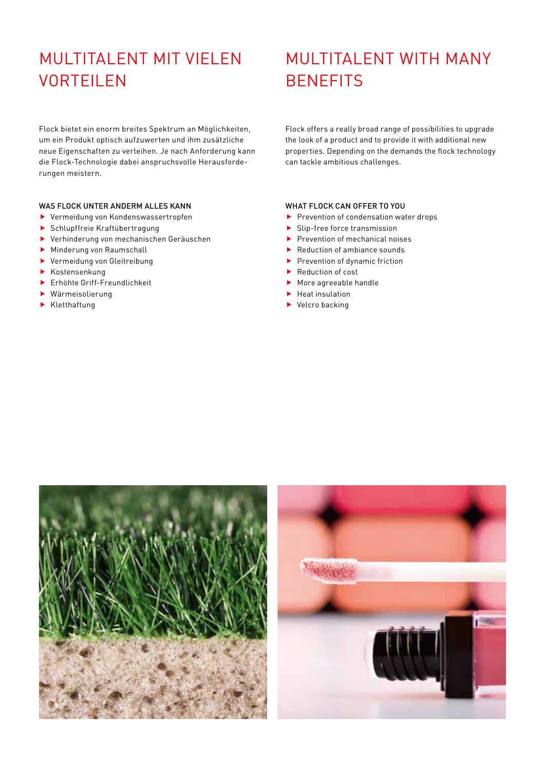# MULTITALENT MIT VIELEN VORTEILEN

Flock bietet ein enorm breites Spektrum an Möglichkeiten, um ein Produkt optisch aufzuwerten und ihm zusätzliche neue Eigenschaften zu verleihen. Je nach Anforderung kann die Flock-Technologie dabei anspruchsvolle Herausforderungen meistern.

#### WAS FLOCK UNTER ANDERM ALLES KANN

- ▶ Vermeidung von Kondenswassertropfen
- **F** Schlupffreie Kraftübertragung
- ▶ Verhinderung von mechanischen Geräuschen
- $\blacktriangleright$  Minderung von Raumschall
- **F** Vermeidung von Gleitreibung
- $\blacktriangleright$  Kostensenkung
- $\blacktriangleright$  Erhöhte Griff-Freundlichkeit
- $\blacktriangleright$  Wärmeisolierung
- $\blacktriangleright$  Kletthaftung

### MULTITALENT WITH MANY **BENEFITS**

Flock offers a really broad range of possibilities to upgrade the look of a product and to provide it with additional new properties. Depending on the demands the flock technology can tackle ambitious challenges.

#### WHAT FLOCK CAN OFFER TO YOU

- $\blacktriangleright$  Prevention of condensation water drops
- $\blacktriangleright$  Slip-free force transmission
- $\blacktriangleright$  Prevention of mechanical noises
- $\blacktriangleright$  Reduction of ambiance sounds
- $\blacktriangleright$  Prevention of dynamic friction
- $\blacktriangleright$  Reduction of cost
- $\blacktriangleright$  More agreeable handle
- $\blacktriangleright$  Heat insulation
- $\blacktriangleright$  Velcro backing

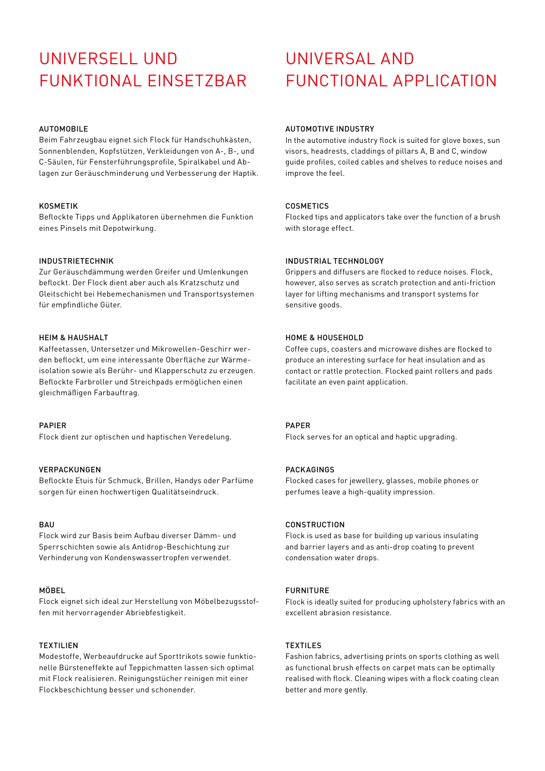# UNIVERSELL UND FUNKTIONAL EINSETZBAR

#### AUTOMOBILE

Beim Fahrzeugbau eignet sich Flock für Handschuhkästen, Sonnenblenden, Kopfstützen, Verkleidungen von A-, B-, und C-Säulen, für Fensterführungsprofile, Spiralkabel und Ablagen zur Geräuschminderung und Verbesserung der Haptik.

#### KOSMETIK

Beflockte Tipps und Applikatoren übernehmen die Funktion eines Pinsels mit Depotwirkung.

#### INDUSTRIETECHNIK

Zur Geräuschdämmung werden Greifer und Umlenkungen beflockt. Der Flock dient aber auch als Kratzschutz und Gleitschicht bei Hebemechanismen und Transportsystemen für empfindliche Güter.

#### HEIM & HAUSHALT

Kaffeetassen, Untersetzer und Mikrowellen-Geschirr werden beflockt, um eine interessante Oberfläche zur Wärmeisolation sowie als Berühr- und Klapperschutz zu erzeugen. Beflockte Farbroller und Streichpads ermöglichen einen gleichmäßigen Farbauftrag.

#### PAPIER

Flock dient zur optischen und haptischen Veredelung.

#### VERPACKUNGEN

Beflockte Etuis für Schmuck, Brillen, Handys oder Parfüme sorgen für einen hochwertigen Qualitätseindruck.

#### **BAU**

Flock wird zur Basis beim Aufbau diverser Dämm- und Sperrschichten sowie als Antidrop-Beschichtung zur Verhinderung von Kondenswassertropfen verwendet.

#### MÖBEL

Flock eignet sich ideal zur Herstellung von Möbelbezugsstoffen mit hervorragender Abriebfestigkeit.

#### TEXTILIEN

Modestoffe, Werbeaufdrucke auf Sporttrikots sowie funktionelle Bürsteneffekte auf Teppichmatten lassen sich optimal mit Flock realisieren. Reinigungstücher reinigen mit einer Flockbeschichtung besser und schonender.

### UNIVERSAL AND FUNCTIONAL APPLICATION

#### AUTOMOTIVE INDUSTRY

In the automotive industry flock is suited for glove boxes, sun visors, headrests, claddings of pillars A, B and C, window guide profiles, coiled cables and shelves to reduce noises and improve the feel.

#### COSMETICS

Flocked tips and applicators take over the function of a brush with storage effect.

#### INDUSTRIAL TECHNOLOGY

Grippers and diffusers are flocked to reduce noises. Flock, however, also serves as scratch protection and anti-friction layer for lifting mechanisms and transport systems for sensitive goods.

#### HOME & HOUSEHOLD

Coffee cups, coasters and microwave dishes are flocked to produce an interesting surface for heat insulation and as contact or rattle protection. Flocked paint rollers and pads facilitate an even paint application.

#### PAPER

Flock serves for an optical and haptic upgrading.

#### PACKAGINGS

Flocked cases for jewellery, glasses, mobile phones or perfumes leave a high-quality impression.

#### **CONSTRUCTION**

Flock is used as base for building up various insulating and barrier layers and as anti-drop coating to prevent condensation water drops.

#### FURNITURE

Flock is ideally suited for producing upholstery fabrics with an excellent abrasion resistance.

#### TEXTILES

Fashion fabrics, advertising prints on sports clothing as well as functional brush effects on carpet mats can be optimally realised with flock. Cleaning wipes with a flock coating clean better and more gently.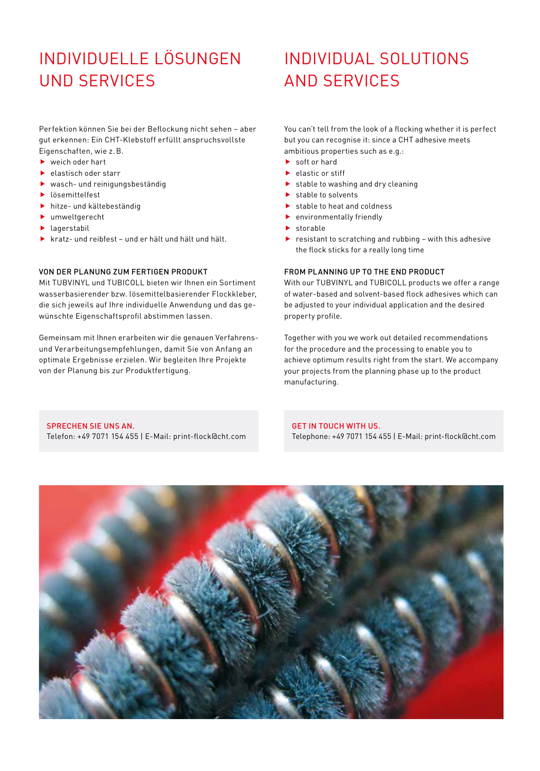# INDIVIDUELLE LÖSUNGEN UND SERVICES

Perfektion können Sie bei der Beflockung nicht sehen – aber gut erkennen: Ein CHT-Klebstoff erfüllt anspruchsvollste Eigenschaften, wie z.B.

- $\blacktriangleright$  weich oder hart
- $\blacktriangleright$  elastisch oder starr
- $\blacktriangleright$  wasch- und reinigungsbeständig
- $\blacktriangleright$  lösemittelfest
- $\blacktriangleright$  hitze- und kältebeständig
- $\blacktriangleright$  umweltgerecht
- $\blacktriangleright$  lagerstabil
- $\blacktriangleright$  kratz- und reibfest und er hält und hält und hält.

#### VON DER PLANUNG ZUM FERTIGEN PRODUKT

Mit TUBVINYL und TUBICOLL bieten wir Ihnen ein Sortiment wasserbasierender bzw. lösemittelbasierender Flockkleber, die sich jeweils auf Ihre individuelle Anwendung und das gewünschte Eigenschaftsprofil abstimmen lassen.

Gemeinsam mit Ihnen erarbeiten wir die genauen Verfahrensund Verarbeitungsempfehlungen, damit Sie von Anfang an optimale Ergebnisse erzielen. Wir begleiten Ihre Projekte von der Planung bis zur Produktfertigung.

### INDIVIDUAL SOLUTIONS AND SERVICES

You can't tell from the look of a flocking whether it is perfect but you can recognise it: since a CHT adhesive meets ambitious properties such as e.g.:

- $\blacktriangleright$  soft or hard
- $\blacktriangleright$  elastic or stiff
- $\blacktriangleright$  stable to washing and dry cleaning
- $\blacktriangleright$  stable to solvents
- $\blacktriangleright$  stable to heat and coldness
- $\blacktriangleright$  environmentally friendly
- $\blacktriangleright$  storable
- $\blacktriangleright$  resistant to scratching and rubbing with this adhesive the flock sticks for a really long time

#### FROM PLANNING UP TO THE END PRODUCT

With our TUBVINYL and TUBICOLL products we offer a range of water-based and solvent-based flock adhesives which can be adjusted to your individual application and the desired property profile.

Together with you we work out detailed recommendations for the procedure and the processing to enable you to achieve optimum results right from the start. We accompany your projects from the planning phase up to the product manufacturing.

SPRECHEN SIE UNS AN. Telefon: +49 7071 154 455 | E-Mail: print-flock@cht.com

#### GET IN TOUCH WITH US.

Telephone: +49 7071 154 455 | E-Mail: print-flock@cht.com